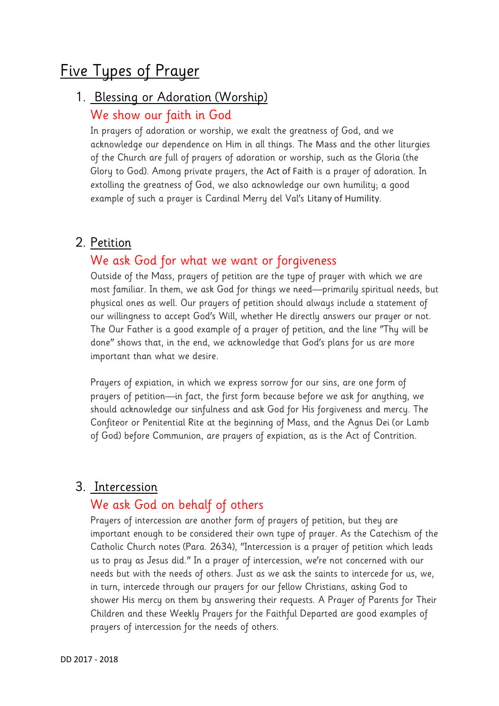# Five Types of Prayer

### 1. Blessing or Adoration (Worship)

#### We show our faith in God

In prayers of adoration or worship, we exalt the greatness of God, and we acknowledge our dependence on Him in all things. The Mass and the other liturgies of the Church are full of prayers of adoration or worship, such as the Gloria (the Glory to God). Among private prayers, the Act of Faith is a prayer of adoration. In extolling the greatness of God, we also acknowledge our own humility; a good example of such a prayer is Cardinal Merry del Val's Litany of Humility.

#### 2. Petition

### We ask God for what we want or forgiveness

Outside of the Mass, prayers of petition are the type of prayer with which we are most familiar. In them, we ask God for things we need—primarily spiritual needs, but physical ones as well. Our prayers of petition should always include a statement of our willingness to accept God's Will, whether He directly answers our prayer or not. The Our Father is a good example of a prayer of petition, and the line "Thy will be done" shows that, in the end, we acknowledge that God's plans for us are more important than what we desire.

Prayers of expiation, in which we express sorrow for our sins, are one form of prayers of petition—in fact, the first form because before we ask for anything, we should acknowledge our sinfulness and ask God for His forgiveness and mercy. The Confiteor or Penitential Rite at the beginning of Mass, and the Agnus Dei (or Lamb of God) before Communion, are prayers of expiation, as is the Act of Contrition.

#### 3. Intercession

#### We ask God on behalf of others

Prayers of intercession are another form of prayers of petition, but they are important enough to be considered their own type of prayer. As the Catechism of the Catholic Church notes (Para. 2634), "Intercession is a prayer of petition which leads us to pray as Jesus did." In a prayer of intercession, we're not concerned with our needs but with the needs of others. Just as we ask the saints to intercede for us, we, in turn, intercede through our prayers for our fellow Christians, asking God to shower His mercy on them by answering their requests. A Prayer of Parents for Their Children and these Weekly Prayers for the Faithful Departed are good examples of prayers of intercession for the needs of others.